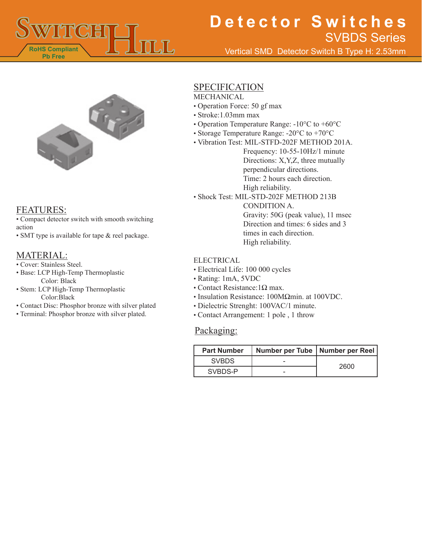

# **Detector Switches** SVBDS Series

Vertical SMD Detector Switch B Type H: 2.53mm



### FEATURES:

- Compact detector switch with smooth switching action
- SMT type is available for tape & reel package.

### MATERIAL:

- Cover: Stainless Steel.
- Base: LCP High-Temp Thermoplastic Color: Black
- Stem: LCP High-Temp Thermoplastic Color:Black
- Contact Disc: Phosphor bronze with silver plated
- Terminal: Phosphor bronze with silver plated.

### SPECIFICATION

- MECHANICAL
- Operation Force: 50 gf max
- Stroke:1.03mm max
- Operation Temperature Range: -10°C to +60°C
- Storage Temperature Range: -20°C to +70°C
- Vibration Test: MIL-STFD-202F METHOD 201A.
	- Frequency: 10-55-10Hz/1 minute Directions: X,Y,Z, three mutually perpendicular directions. Time: 2 hours each direction. High reliability.
- Shock Test: MIL-STD-202F METHOD 213B

CONDITION A. Gravity: 50G (peak value), 11 msec Direction and times: 6 sides and 3 times in each direction. High reliability.

#### **ELECTRICAL**

- Electrical Life: 100 000 cycles
- Rating: 1mA, 5VDC
- Contact Resistance:1Ω max.
- Insulation Resistance: 100MΩmin. at 100VDC.
- Dielectric Strenght: 100VAC/1 minute.
- Contact Arrangement: 1 pole , 1 throw

### Packaging:

| <b>Part Number</b> | Number per Tube   Number per Reel |      |
|--------------------|-----------------------------------|------|
| <b>SVBDS</b>       |                                   | 2600 |
| SVBDS-P            |                                   |      |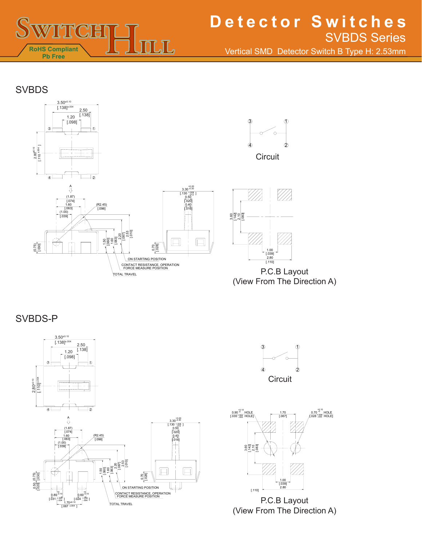

## **Detector Switches** SVBDS Series

Vertical SMD Detector Switch B Type H: 2.53mm

### **SVBDS**



(View From The Direction A)

SVBDS-P







P.C.B Layout (View From The Direction A)